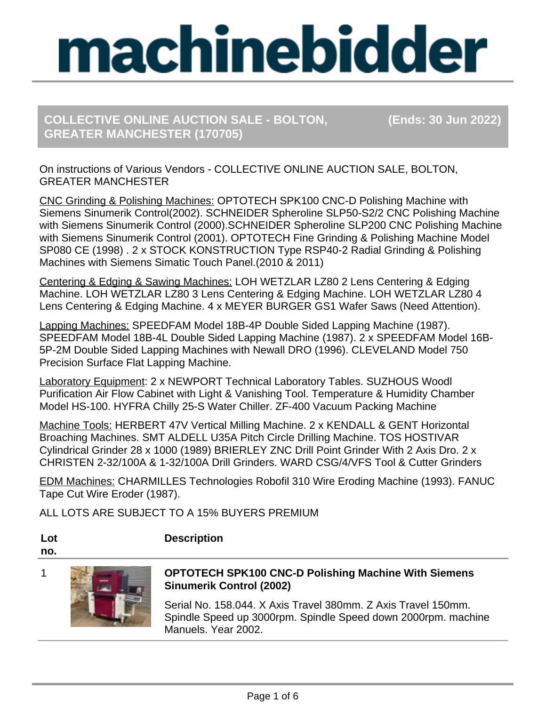# **COLLECTIVE ONLINE AUCTION SALE - BOLTON, (Ends: 30 Jun 2022) GREATER MANCHESTER (170705)**

On instructions of Various Vendors - COLLECTIVE ONLINE AUCTION SALE, BOLTON, GREATER MANCHESTER

CNC Grinding & Polishing Machines: OPTOTECH SPK100 CNC-D Polishing Machine with Siemens Sinumerik Control(2002). SCHNEIDER Spheroline SLP50-S2/2 CNC Polishing Machine with Siemens Sinumerik Control (2000).SCHNEIDER Spheroline SLP200 CNC Polishing Machine with Siemens Sinumerik Control (2001). OPTOTECH Fine Grinding & Polishing Machine Model SP080 CE (1998) . 2 x STOCK KONSTRUCTION Type RSP40-2 Radial Grinding & Polishing Machines with Siemens Simatic Touch Panel.(2010 & 2011)

Centering & Edging & Sawing Machines: LOH WETZLAR LZ80 2 Lens Centering & Edging Machine. LOH WETZLAR LZ80 3 Lens Centering & Edging Machine. LOH WETZLAR LZ80 4 Lens Centering & Edging Machine. 4 x MEYER BURGER GS1 Wafer Saws (Need Attention).

Lapping Machines: SPEEDFAM Model 18B-4P Double Sided Lapping Machine (1987). SPEEDFAM Model 18B-4L Double Sided Lapping Machine (1987). 2 x SPEEDFAM Model 16B-5P-2M Double Sided Lapping Machines with Newall DRO (1996). CLEVELAND Model 750 Precision Surface Flat Lapping Machine.

Laboratory Equipment: 2 x NEWPORT Technical Laboratory Tables. SUZHOUS Woodl Purification Air Flow Cabinet with Light & Vanishing Tool. Temperature & Humidity Chamber Model HS-100. HYFRA Chilly 25-S Water Chiller. ZF-400 Vacuum Packing Machine

Machine Tools: HERBERT 47V Vertical Milling Machine. 2 x KENDALL & GENT Horizontal Broaching Machines. SMT ALDELL U35A Pitch Circle Drilling Machine. TOS HOSTIVAR Cylindrical Grinder 28 x 1000 (1989) BRIERLEY ZNC Drill Point Grinder With 2 Axis Dro. 2 x CHRISTEN 2-32/100A & 1-32/100A Drill Grinders. WARD CSG/4/VFS Tool & Cutter Grinders

EDM Machines: CHARMILLES Technologies Robofil 310 Wire Eroding Machine (1993). FANUC Tape Cut Wire Eroder (1987).

ALL LOTS ARE SUBJECT TO A 15% BUYERS PREMIUM

**Description**

**Lot no.**



### 1 **OPTOTECH SPK100 CNC-D Polishing Machine With Siemens Sinumerik Control (2002)**

Serial No. 158.044. X Axis Travel 380mm. Z Axis Travel 150mm. Spindle Speed up 3000rpm. Spindle Speed down 2000rpm. machine Manuels. Year 2002.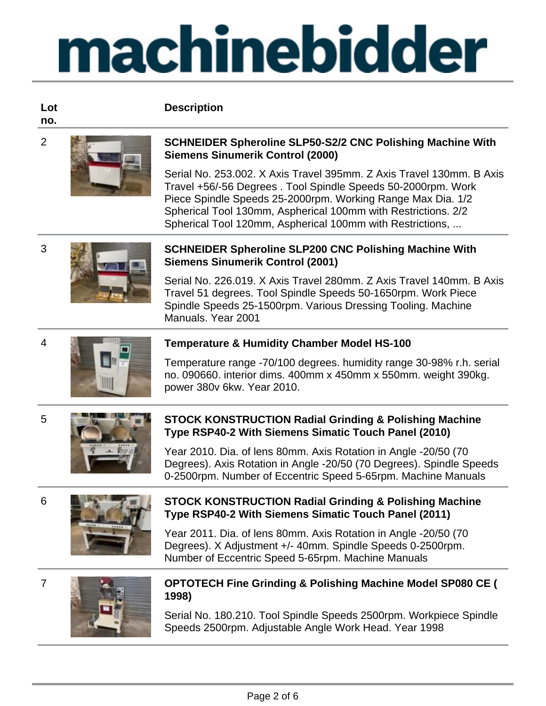#### **Description**

**Lot no.**



#### 2 **SCHNEIDER Spheroline SLP50-S2/2 CNC Polishing Machine With Siemens Sinumerik Control (2000)**

Serial No. 253.002. X Axis Travel 395mm. Z Axis Travel 130mm. B Axis Travel +56/-56 Degrees . Tool Spindle Speeds 50-2000rpm. Work Piece Spindle Speeds 25-2000rpm. Working Range Max Dia. 1/2 Spherical Tool 130mm, Aspherical 100mm with Restrictions. 2/2 Spherical Tool 120mm, Aspherical 100mm with Restrictions, ...



#### 3 **SCHNEIDER Spheroline SLP200 CNC Polishing Machine With Siemens Sinumerik Control (2001)**

Serial No. 226.019. X Axis Travel 280mm. Z Axis Travel 140mm. B Axis Travel 51 degrees. Tool Spindle Speeds 50-1650rpm. Work Piece Spindle Speeds 25-1500rpm. Various Dressing Tooling. Machine Manuals. Year 2001



### 4 **Temperature & Humidity Chamber Model HS-100**

Temperature range -70/100 degrees. humidity range 30-98% r.h. serial no. 090660. interior dims. 400mm x 450mm x 550mm. weight 390kg. power 380v 6kw. Year 2010.



#### 5 **STOCK KONSTRUCTION Radial Grinding & Polishing Machine Type RSP40-2 With Siemens Simatic Touch Panel (2010)**

Year 2010. Dia. of lens 80mm. Axis Rotation in Angle -20/50 (70 Degrees). Axis Rotation in Angle -20/50 (70 Degrees). Spindle Speeds 0-2500rpm. Number of Eccentric Speed 5-65rpm. Machine Manuals



#### 6 **STOCK KONSTRUCTION Radial Grinding & Polishing Machine Type RSP40-2 With Siemens Simatic Touch Panel (2011)**

Year 2011. Dia. of lens 80mm. Axis Rotation in Angle -20/50 (70 Degrees). X Adjustment +/- 40mm. Spindle Speeds 0-2500rpm. Number of Eccentric Speed 5-65rpm. Machine Manuals



#### 7 **OPTOTECH Fine Grinding & Polishing Machine Model SP080 CE ( 1998)**

Serial No. 180.210. Tool Spindle Speeds 2500rpm. Workpiece Spindle Speeds 2500rpm. Adjustable Angle Work Head. Year 1998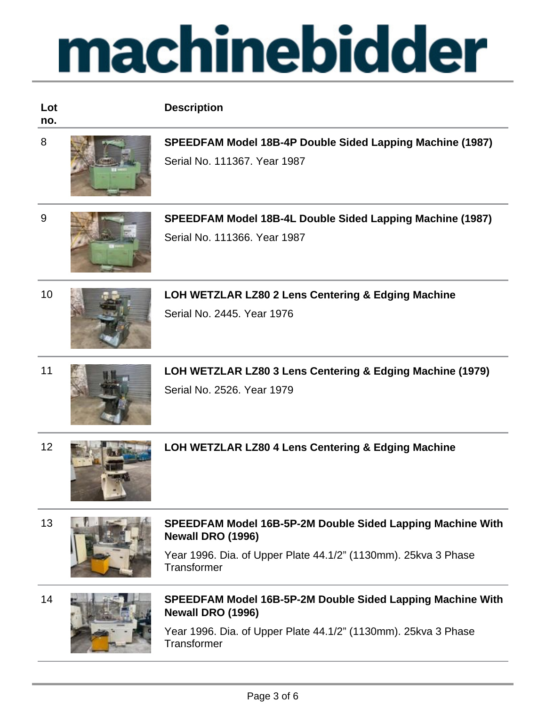| Lot<br>no. | <b>Description</b>                                                                                                                                                      |
|------------|-------------------------------------------------------------------------------------------------------------------------------------------------------------------------|
| 8          | SPEEDFAM Model 18B-4P Double Sided Lapping Machine (1987)<br>Serial No. 111367. Year 1987                                                                               |
| 9          | SPEEDFAM Model 18B-4L Double Sided Lapping Machine (1987)<br>Serial No. 111366. Year 1987                                                                               |
| 10         | LOH WETZLAR LZ80 2 Lens Centering & Edging Machine<br>Serial No. 2445, Year 1976                                                                                        |
| 11         | LOH WETZLAR LZ80 3 Lens Centering & Edging Machine (1979)<br>Serial No. 2526, Year 1979                                                                                 |
| 12         | LOH WETZLAR LZ80 4 Lens Centering & Edging Machine                                                                                                                      |
| 13         | SPEEDFAM Model 16B-5P-2M Double Sided Lapping Machine With<br>Newall DRO (1996)<br>Year 1996. Dia. of Upper Plate 44.1/2" (1130mm). 25kva 3 Phase<br><b>Transformer</b> |



#### 14 **SPEEDFAM Model 16B-5P-2M Double Sided Lapping Machine With Newall DRO (1996)**

Year 1996. Dia. of Upper Plate 44.1/2" (1130mm). 25kva 3 Phase **Transformer**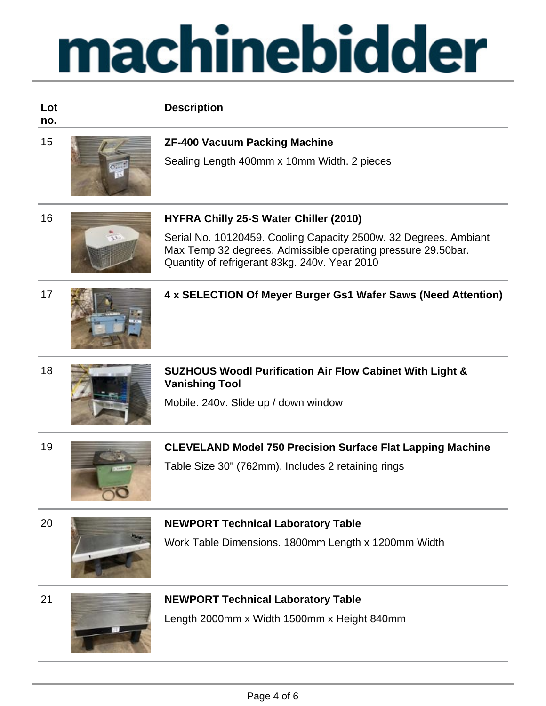#### **Lot Description**

**no.**



## 15 **ZF-400 Vacuum Packing Machine**

Sealing Length 400mm x 10mm Width. 2 pieces

### 16 **HYFRA Chilly 25-S Water Chiller (2010)**

Serial No. 10120459. Cooling Capacity 2500w. 32 Degrees. Ambiant Max Temp 32 degrees. Admissible operating pressure 29.50bar. Quantity of refrigerant 83kg. 240v. Year 2010



### 17 **4 x SELECTION Of Meyer Burger Gs1 Wafer Saws (Need Attention)**

18 **SUZHOUS Woodl Purification Air Flow Cabinet With Light & Vanishing Tool**

Mobile. 240v. Slide up / down window



# 19 **CLEVELAND Model 750 Precision Surface Flat Lapping Machine**

Table Size 30" (762mm). Includes 2 retaining rings

| × |             |
|---|-------------|
|   |             |
|   | ł<br>٠<br>× |



# **NEWPORT Technical Laboratory Table**

Work Table Dimensions. 1800mm Length x 1200mm Width





# 21 **NEWPORT Technical Laboratory Table**

Length 2000mm x Width 1500mm x Height 840mm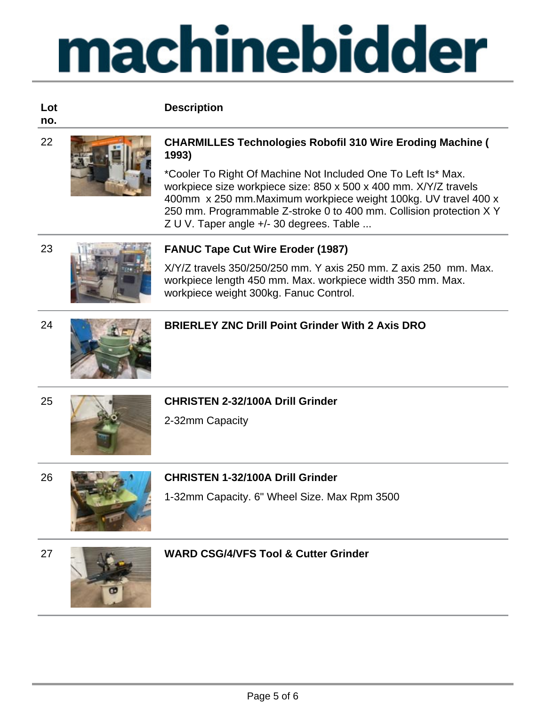#### **Lot no.**

### 22 **CHARMILLES Technologies Robofil 310 Wire Eroding Machine ( 1993)**

\*Cooler To Right Of Machine Not Included One To Left Is\* Max. workpiece size workpiece size: 850 x 500 x 400 mm. X/Y/Z travels 400mm x 250 mm.Maximum workpiece weight 100kg. UV travel 400 x 250 mm. Programmable Z-stroke 0 to 400 mm. Collision protection X Y Z U V. Taper angle +/- 30 degrees. Table ...



# 23 **FANUC Tape Cut Wire Eroder (1987)**

X/Y/Z travels 350/250/250 mm. Y axis 250 mm. Z axis 250 mm. Max. workpiece length 450 mm. Max. workpiece width 350 mm. Max. workpiece weight 300kg. Fanuc Control.



# 24 **BRIERLEY ZNC Drill Point Grinder With 2 Axis DRO**



# 25 **CHRISTEN 2-32/100A Drill Grinder**

2-32mm Capacity

**Description**



# 1-32mm Capacity. 6" Wheel Size. Max Rpm 3500